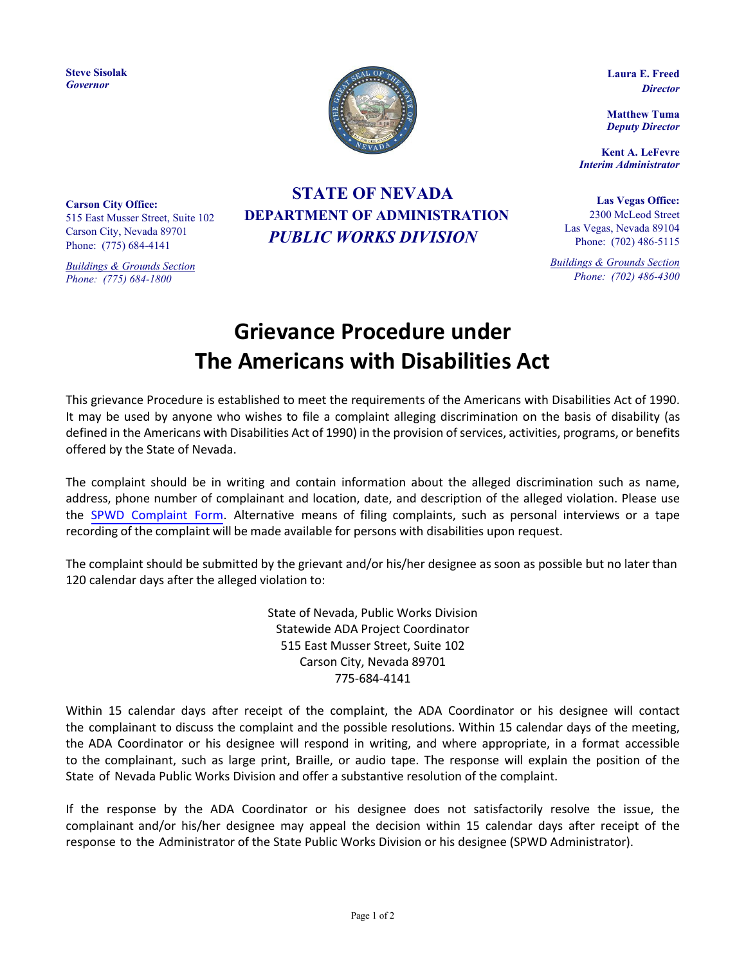**Steve Sisolak** *Governor*



**Laura E. Freed**  *Director*

**Matthew Tuma** *Deputy Director*

**Kent A. LeFevre** *Interim Administrator*

**Las Vegas Office:** 2300 McLeod Street Las Vegas, Nevada 89104 Phone: (702) 486-5115

*Buildings & Grounds Section Phone: (702) 486-4300*

**Carson City Office:** 515 East Musser Street, Suite 102 Carson City, Nevada 89701 Phone: (775) 684-4141

*Buildings & Grounds Section Phone: (775) 684-1800*

## **STATE OF NEVADA DEPARTMENT OF ADMINISTRATION** *PUBLIC WORKS DIVISION*

## **Grievance Procedure under The Americans with Disabilities Act**

This grievance Procedure is established to meet the requirements of the Americans with Disabilities Act of 1990. It may be used by anyone who wishes to file a complaint alleging discrimination on the basis of disability (as defined in the Americans with Disabilities Act of 1990) in the provision of services, activities, programs, or benefits offered by the State of Nevada.

The complaint should be in writing and contain information about the alleged discrimination such as name, address, phone number of complainant and location, date, and description of the alleged violation. Please use the SPWD [Complaint](https://publicworks.nv.gov/uploadedFiles/publicworksnvgov/content/Documents/ADA%20-%20COMPLAINT%20FORM_5-2022.pdf) Form. Alternative means of filing complaints, such as personal interviews or a tape recording of the complaint will be made available for persons with disabilities upon request.

The complaint should be submitted by the grievant and/or his/her designee as soon as possible but no later than 120 calendar days after the alleged violation to:

> State of Nevada, Public Works Division Statewide ADA Project Coordinator 515 East Musser Street, Suite 102 Carson City, Nevada 89701 775-684-4141

Within 15 calendar days after receipt of the complaint, the ADA Coordinator or his designee will contact the complainant to discuss the complaint and the possible resolutions. Within 15 calendar days of the meeting, the ADA Coordinator or his designee will respond in writing, and where appropriate, in a format accessible to the complainant, such as large print, Braille, or audio tape. The response will explain the position of the State of Nevada Public Works Division and offer a substantive resolution of the complaint.

If the response by the ADA Coordinator or his designee does not satisfactorily resolve the issue, the complainant and/or his/her designee may appeal the decision within 15 calendar days after receipt of the response to the Administrator of the State Public Works Division or his designee (SPWD Administrator).